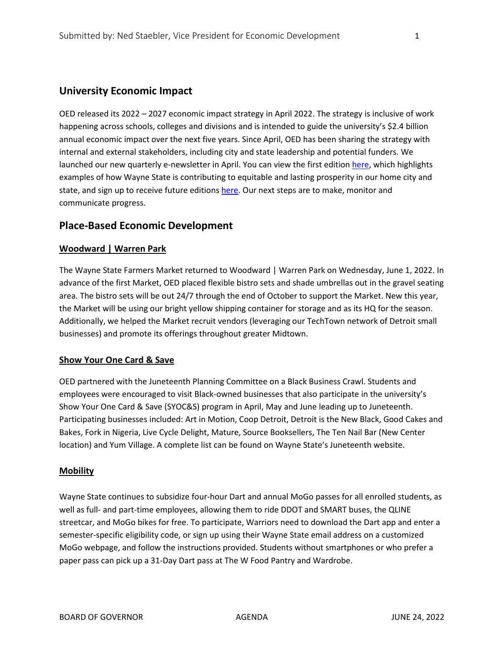# **University Economic Impact**

OED released its 2022 – 2027 economic impact strategy in April 2022. The strategy is inclusive of work happening across schools, colleges and divisions and is intended to guide the university's \$2.4 billion annual economic impact over the next five years. Since April, OED has been sharing the strategy with internal and external stakeholders, including city and state leadership and potential funders. We launched our new quarterly e-newsletter in April. You can view the first edition [here,](https://ttdetroit.campaign-view.com/ua/SharedView?od=3z36fbcfebf1dade09108f41730f2c1af28b549c5791d2c5f255a697a11492df3b&cno=11a2b0b1f710fdd&cd=17c968ee00eaf48a&m=2&fbclid=IwAR3dKzZ1Ce0DqdUttB4QKh4JW_1NWx6cWi5jNj56_kDf2qKgg-iSfeHf8XU) which highlights examples of how Wayne State is contributing to equitable and lasting prosperity in our home city and state, and sign up to receive future editions [here.](https://zc.vg/AzqwI) Our next steps are to make, monitor and communicate progress.

## **Place-Based Economic Development**

### **Woodward | Warren Park**

The Wayne State Farmers Market returned to Woodward | Warren Park on Wednesday, June 1, 2022. In advance of the first Market, OED placed flexible bistro sets and shade umbrellas out in the gravel seating area. The bistro sets will be out 24/7 through the end of October to support the Market. New this year, the Market will be using our bright yellow shipping container for storage and as its HQ for the season. Additionally, we helped the Market recruit vendors (leveraging our TechTown network of Detroit small businesses) and promote its offerings throughout greater Midtown.

### **Show Your One Card & Save**

OED partnered with the Juneteenth Planning Committee on a Black Business Crawl. Students and employees were encouraged to visit Black-owned businesses that also participate in the university's Show Your One Card & Save (SYOC&S) program in April, May and June leading up to Juneteenth. Participating businesses included: Art in Motion, Coop Detroit, Detroit is the New Black, Good Cakes and Bakes, Fork in Nigeria, Live Cycle Delight, Mature, Source Booksellers, The Ten Nail Bar (New Center location) and Yum Village. A complete list can be found on Wayne State's Juneteenth website.

### **Mobility**

Wayne State continues to subsidize four-hour Dart and annual MoGo passes for all enrolled students, as well as full- and part-time employees, allowing them to ride DDOT and SMART buses, the QLINE streetcar, and MoGo bikes for free. To participate, Warriors need to download the Dart app and enter a semester-specific eligibility code, or sign up using their Wayne State email address on a customized MoGo webpage, and follow the instructions provided. Students without smartphones or who prefer a paper pass can pick up a 31-Day Dart pass at The W Food Pantry and Wardrobe.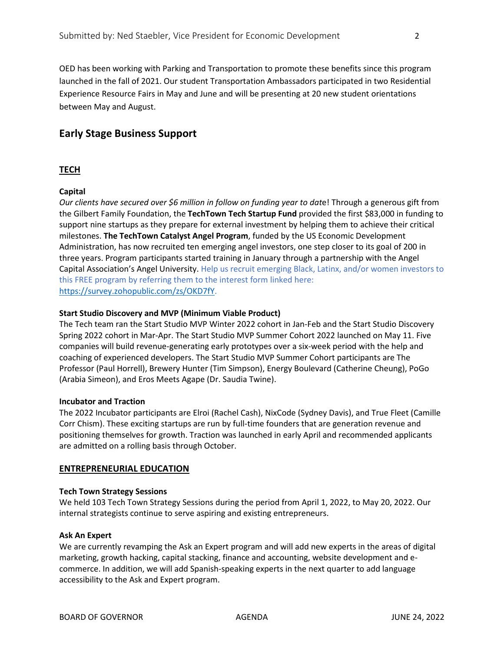OED has been working with Parking and Transportation to promote these benefits since this program launched in the fall of 2021. Our student Transportation Ambassadors participated in two Residential Experience Resource Fairs in May and June and will be presenting at 20 new student orientations between May and August.

# **Early Stage Business Support**

## **TECH**

### **Capital**

*Our clients have secured over \$6 million in follow on funding year to dat*e! Through a generous gift from the Gilbert Family Foundation, the **TechTown Tech Startup Fund** provided the first \$83,000 in funding to support nine startups as they prepare for external investment by helping them to achieve their critical milestones. **The TechTown Catalyst Angel Program**, funded by the US Economic Development Administration, has now recruited ten emerging angel investors, one step closer to its goal of 200 in three years. Program participants started training in January through a partnership with the Angel Capital Association's Angel University. Help us recruit emerging Black, Latinx, and/or women investors to this FREE program by referring them to the interest form linked here: [https://survey.zohopublic.com/zs/OKD7fY.](https://survey.zohopublic.com/zs/OKD7fY)

### **Start Studio Discovery and MVP (Minimum Viable Product)**

The Tech team ran the Start Studio MVP Winter 2022 cohort in Jan-Feb and the Start Studio Discovery Spring 2022 cohort in Mar-Apr. The Start Studio MVP Summer Cohort 2022 launched on May 11. Five companies will build revenue-generating early prototypes over a six-week period with the help and coaching of experienced developers. The Start Studio MVP Summer Cohort participants are The Professor (Paul Horrell), Brewery Hunter (Tim Simpson), Energy Boulevard (Catherine Cheung), PoGo (Arabia Simeon), and Eros Meets Agape (Dr. Saudia Twine).

#### **Incubator and Traction**

The 2022 Incubator participants are Elroi (Rachel Cash), NixCode (Sydney Davis), and True Fleet (Camille Corr Chism). These exciting startups are run by full-time founders that are generation revenue and positioning themselves for growth. Traction was launched in early April and recommended applicants are admitted on a rolling basis through October.

### **ENTREPRENEURIAL EDUCATION**

#### **Tech Town Strategy Sessions**

We held 103 Tech Town Strategy Sessions during the period from April 1, 2022, to May 20, 2022. Our internal strategists continue to serve aspiring and existing entrepreneurs.

#### **Ask An Expert**

We are currently revamping the Ask an Expert program and will add new experts in the areas of digital marketing, growth hacking, capital stacking, finance and accounting, website development and ecommerce. In addition, we will add Spanish-speaking experts in the next quarter to add language accessibility to the Ask and Expert program.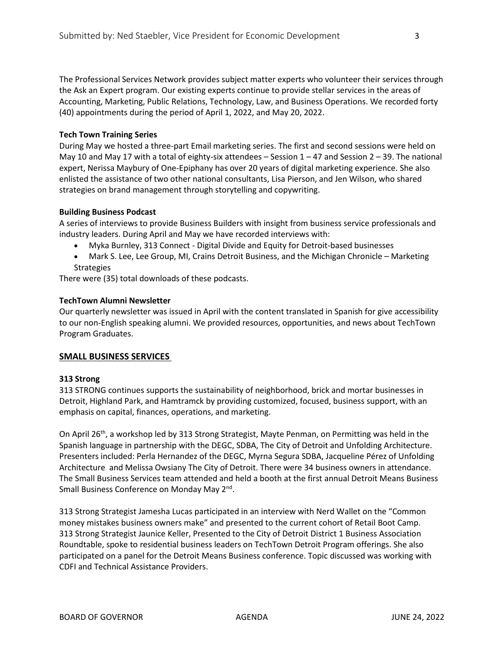The Professional Services Network provides subject matter experts who volunteer their services through the Ask an Expert program. Our existing experts continue to provide stellar services in the areas of Accounting, Marketing, Public Relations, Technology, Law, and Business Operations. We recorded forty (40) appointments during the period of April 1, 2022, and May 20, 2022.

#### **Tech Town Training Series**

During May we hosted a three-part Email marketing series. The first and second sessions were held on May 10 and May 17 with a total of eighty-six attendees – Session  $1 - 47$  and Session  $2 - 39$ . The national expert, Nerissa Maybury of One-Epiphany has over 20 years of digital marketing experience. She also enlisted the assistance of two other national consultants, Lisa Pierson, and Jen Wilson, who shared strategies on brand management through storytelling and copywriting.

#### **Building Business Podcast**

A series of interviews to provide Business Builders with insight from business service professionals and industry leaders. During April and May we have recorded interviews with:

- Myka Burnley, 313 Connect Digital Divide and Equity for Detroit-based businesses
- Mark S. Lee, Lee Group, MI, Crains Detroit Business, and the Michigan Chronicle Marketing Strategies

There were (35) total downloads of these podcasts.

#### **TechTown Alumni Newsletter**

Our quarterly newsletter was issued in April with the content translated in Spanish for give accessibility to our non-English speaking alumni. We provided resources, opportunities, and news about TechTown Program Graduates.

### **SMALL BUSINESS SERVICES**

#### **313 Strong**

313 STRONG continues supports the sustainability of neighborhood, brick and mortar businesses in Detroit, Highland Park, and Hamtramck by providing customized, focused, business support, with an emphasis on capital, finances, operations, and marketing.    

On April 26<sup>th</sup>, a workshop led by 313 Strong Strategist, Mayte Penman, on Permitting was held in the Spanish language in partnership with the DEGC, SDBA, The City of Detroit and Unfolding Architecture. Presenters included: Perla Hernandez of the DEGC, Myrna Segura SDBA, Jacqueline Pérez of Unfolding Architecture  and Melissa Owsiany The City of Detroit. There were 34 business owners in attendance. The Small Business Services team attended and held a booth at the first annual Detroit Means Business Small Business Conference on Monday May 2<sup>nd</sup>.

313 Strong Strategist Jamesha Lucas participated in an interview with Nerd Wallet on the "Common money mistakes business owners make" and presented to the current cohort of Retail Boot Camp. 313 Strong Strategist Jaunice Keller, Presented to the City of Detroit District 1 Business Association Roundtable, spoke to residential business leaders on TechTown Detroit Program offerings. She also participated on a panel for the Detroit Means Business conference. Topic discussed was working with CDFI and Technical Assistance Providers.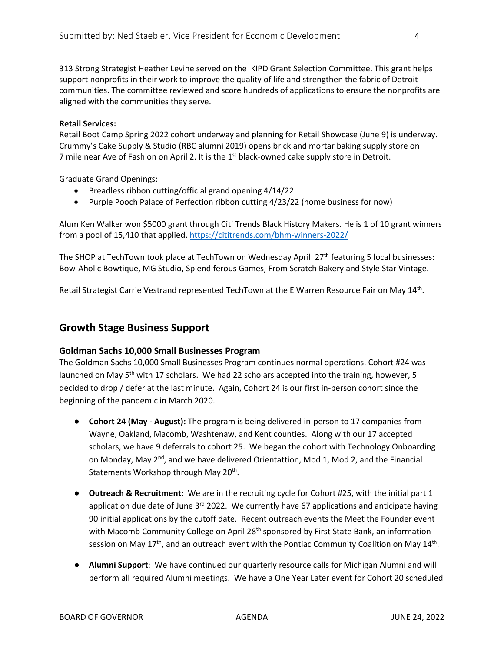313 Strong Strategist Heather Levine served on the KIPD Grant Selection Committee. This grant helps support nonprofits in their work to improve the quality of life and strengthen the fabric of Detroit communities. The committee reviewed and score hundreds of applications to ensure the nonprofits are aligned with the communities they serve.

#### **Retail Services:**

Retail Boot Camp Spring 2022 cohort underway and planning for Retail Showcase (June 9) is underway. Crummy's Cake Supply & Studio (RBC alumni 2019) opens brick and mortar baking supply store on 7 mile near Ave of Fashion on April 2. It is the 1<sup>st</sup> black-owned cake supply store in Detroit.

Graduate Grand Openings: 

- Breadless ribbon cutting/official grand opening 4/14/22
- Purple Pooch Palace of Perfection ribbon cutting 4/23/22 (home business for now)

Alum Ken Walker won \$5000 grant through Citi Trends Black History Makers. He is 1 of 10 grant winners from a pool of 15,410 that applied.<https://cititrends.com/bhm-winners-2022/>

The SHOP at TechTown took place at TechTown on Wednesday April 27<sup>th</sup> featuring 5 local businesses: [Bow-Aholic](https://www.facebook.com/bowaholicbowtique/?__cft__%5b0%5d=AZXVopSLOuow3LgSCgc333O2iow87N_t1eF1d0ITch4jpdAREhzQyJFoSatBYt7in8M7qWGU6wM70_xSJMi9GcnwrqimhwtCtQCi8OJAYx8AvQvjaIB6qEsPRXy0sBybn87vBaiemPj4TKRhbqhR2GfHRbIrpcadRJ72n9W_Dm7gxA&__tn__=kK-R) Bowtique, MG [Studio,](https://www.facebook.com/mgstudiodet/?__cft__%5b0%5d=AZXVopSLOuow3LgSCgc333O2iow87N_t1eF1d0ITch4jpdAREhzQyJFoSatBYt7in8M7qWGU6wM70_xSJMi9GcnwrqimhwtCtQCi8OJAYx8AvQvjaIB6qEsPRXy0sBybn87vBaiemPj4TKRhbqhR2GfHRbIrpcadRJ72n9W_Dm7gxA&__tn__=kK-R) [Splendiferous](https://www.facebook.com/SplendiferousGames/?__cft__%5b0%5d=AZXVopSLOuow3LgSCgc333O2iow87N_t1eF1d0ITch4jpdAREhzQyJFoSatBYt7in8M7qWGU6wM70_xSJMi9GcnwrqimhwtCtQCi8OJAYx8AvQvjaIB6qEsPRXy0sBybn87vBaiemPj4TKRhbqhR2GfHRbIrpcadRJ72n9W_Dm7gxA&__tn__=kK-R) Games, From Scratch Bakery and Style Star [Vintage.](https://www.facebook.com/Style-Star-Vintage-961072620605916/?__cft__%5b0%5d=AZXVopSLOuow3LgSCgc333O2iow87N_t1eF1d0ITch4jpdAREhzQyJFoSatBYt7in8M7qWGU6wM70_xSJMi9GcnwrqimhwtCtQCi8OJAYx8AvQvjaIB6qEsPRXy0sBybn87vBaiemPj4TKRhbqhR2GfHRbIrpcadRJ72n9W_Dm7gxA&__tn__=kK-R)

Retail Strategist Carrie Vestrand represented TechTown at the E Warren Resource Fair on May 14th.

## **Growth Stage Business Support**

### **Goldman Sachs 10,000 Small Businesses Program**

The Goldman Sachs 10,000 Small Businesses Program continues normal operations. Cohort #24 was launched on May  $5<sup>th</sup>$  with 17 scholars. We had 22 scholars accepted into the training, however, 5 decided to drop / defer at the last minute. Again, Cohort 24 is our first in-person cohort since the beginning of the pandemic in March 2020.

- **Cohort 24 (May - August):** The program is being delivered in-person to 17 companies from Wayne, Oakland, Macomb, Washtenaw, and Kent counties. Along with our 17 accepted scholars, we have 9 deferrals to cohort 25. We began the cohort with Technology Onboarding on Monday, May  $2^{nd}$ , and we have delivered Orientattion, Mod 1, Mod 2, and the Financial Statements Workshop through May 20<sup>th</sup>.
- **Outreach & Recruitment:** We are in the recruiting cycle for Cohort #25, with the initial part 1 application due date of June  $3<sup>rd</sup>$  2022. We currently have 67 applications and anticipate having 90 initial applications by the cutoff date. Recent outreach events the Meet the Founder event with Macomb Community College on April 28<sup>th</sup> sponsored by First State Bank, an information session on May  $17<sup>th</sup>$ , and an outreach event with the Pontiac Community Coalition on May  $14<sup>th</sup>$ .
- **Alumni Support**: We have continued our quarterly resource calls for Michigan Alumni and will perform all required Alumni meetings. We have a One Year Later event for Cohort 20 scheduled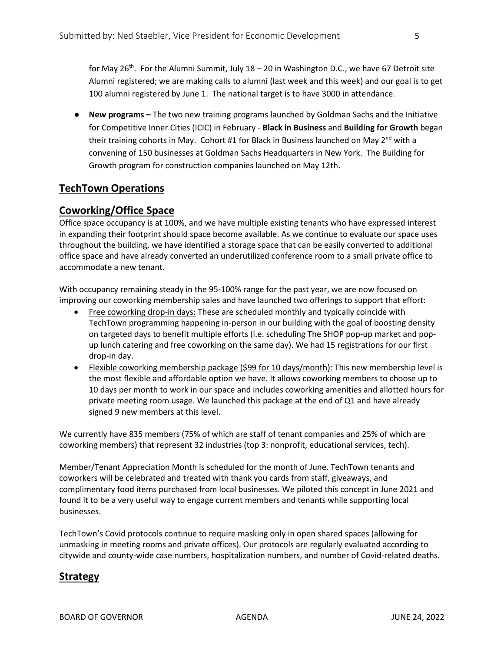for May 26<sup>th</sup>. For the Alumni Summit, July  $18 - 20$  in Washington D.C., we have 67 Detroit site Alumni registered; we are making calls to alumni (last week and this week) and our goal is to get 100 alumni registered by June 1. The national target is to have 3000 in attendance.

● **New programs –** The two new training programs launched by Goldman Sachs and the Initiative for Competitive Inner Cities (ICIC) in February - **Black in Business** and **Building for Growth** began their training cohorts in May. Cohort #1 for Black in Business launched on May 2<sup>nd</sup> with a convening of 150 businesses at Goldman Sachs Headquarters in New York. The Building for Growth program for construction companies launched on May 12th.

# **TechTown Operations**

## **Coworking/Office Space**

Office space occupancy is at 100%, and we have multiple existing tenants who have expressed interest in expanding their footprint should space become available. As we continue to evaluate our space uses throughout the building, we have identified a storage space that can be easily converted to additional office space and have already converted an underutilized conference room to a small private office to accommodate a new tenant.

With occupancy remaining steady in the 95-100% range for the past year, we are now focused on improving our coworking membership sales and have launched two offerings to support that effort:

- Free coworking drop-in days: These are scheduled monthly and typically coincide with TechTown programming happening in-person in our building with the goal of boosting density on targeted days to benefit multiple efforts (i.e. scheduling The SHOP pop-up market and popup lunch catering and free coworking on the same day). We had 15 registrations for our first drop-in day.
- Flexible coworking membership package (\$99 for 10 days/month): This new membership level is the most flexible and affordable option we have. It allows coworking members to choose up to 10 days per month to work in our space and includes coworking amenities and allotted hours for private meeting room usage. We launched this package at the end of Q1 and have already signed 9 new members at this level.

We currently have 835 members (75% of which are staff of tenant companies and 25% of which are coworking members) that represent 32 industries (top 3: nonprofit, educational services, tech).

Member/Tenant Appreciation Month is scheduled for the month of June. TechTown tenants and coworkers will be celebrated and treated with thank you cards from staff, giveaways, and complimentary food items purchased from local businesses. We piloted this concept in June 2021 and found it to be a very useful way to engage current members and tenants while supporting local businesses.

TechTown's Covid protocols continue to require masking only in open shared spaces (allowing for unmasking in meeting rooms and private offices). Our protocols are regularly evaluated according to citywide and county-wide case numbers, hospitalization numbers, and number of Covid-related deaths.

## **Strategy**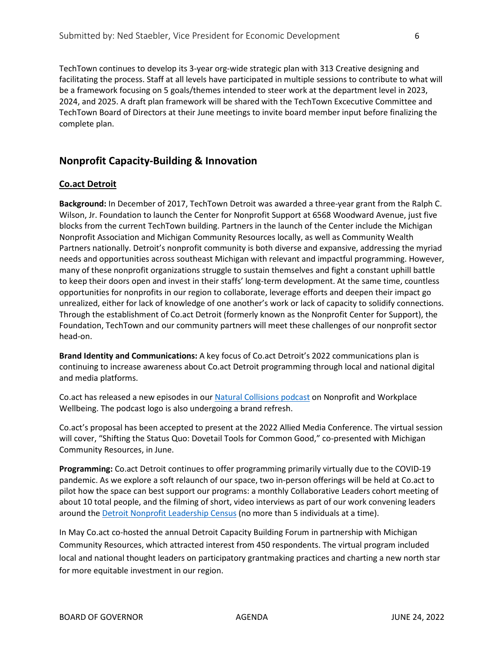TechTown continues to develop its 3-year org-wide strategic plan with 313 Creative designing and facilitating the process. Staff at all levels have participated in multiple sessions to contribute to what will be a framework focusing on 5 goals/themes intended to steer work at the department level in 2023, 2024, and 2025. A draft plan framework will be shared with the TechTown Excecutive Committee and TechTown Board of Directors at their June meetings to invite board member input before finalizing the complete plan.

# **Nonprofit Capacity-Building & Innovation**

## **Co.act Detroit**

**Background:** In December of 2017, TechTown Detroit was awarded a three-year grant from the Ralph C. Wilson, Jr. Foundation to launch the Center for Nonprofit Support at 6568 Woodward Avenue, just five blocks from the current TechTown building. Partners in the launch of the Center include the Michigan Nonprofit Association and Michigan Community Resources locally, as well as Community Wealth Partners nationally. Detroit's nonprofit community is both diverse and expansive, addressing the myriad needs and opportunities across southeast Michigan with relevant and impactful programming. However, many of these nonprofit organizations struggle to sustain themselves and fight a constant uphill battle to keep their doors open and invest in their staffs' long-term development. At the same time, countless opportunities for nonprofits in our region to collaborate, leverage efforts and deepen their impact go unrealized, either for lack of knowledge of one another's work or lack of capacity to solidify connections. Through the establishment of Co.act Detroit (formerly known as the Nonprofit Center for Support), the Foundation, TechTown and our community partners will meet these challenges of our nonprofit sector head-on.

**Brand Identity and Communications:** A key focus of Co.act Detroit's 2022 communications plan is continuing to increase awareness about Co.act Detroit programming through local and national digital and media platforms.

Co.act has released a new episodes in our [Natural Collisions podcast](https://podcasts.apple.com/us/podcast/nc-7-work-well/id1534511642?i=1000557986252) on Nonprofit and Workplace Wellbeing. The podcast logo is also undergoing a brand refresh.

Co.act's proposal has been accepted to present at the 2022 Allied Media Conference. The virtual session will cover, "Shifting the Status Quo: Dovetail Tools for Common Good," co-presented with Michigan Community Resources, in June.

**Programming:** Co.act Detroit continues to offer programming primarily virtually due to the COVID-19 pandemic. As we explore a soft relaunch of our space, two in-person offerings will be held at Co.act to pilot how the space can best support our programs: a monthly Collaborative Leaders cohort meeting of about 10 total people, and the filming of short, video interviews as part of our work convening leaders around the [Detroit Nonprofit Leadership Census](https://storymaps.arcgis.com/stories/666ce58d862e46acac6e18da954ae04a) (no more than 5 individuals at a time).

In May Co.act co-hosted the annual Detroit Capacity Building Forum in partnership with Michigan Community Resources, which attracted interest from 450 respondents. The virtual program included local and national thought leaders on participatory grantmaking practices and charting a new north star for more equitable investment in our region.